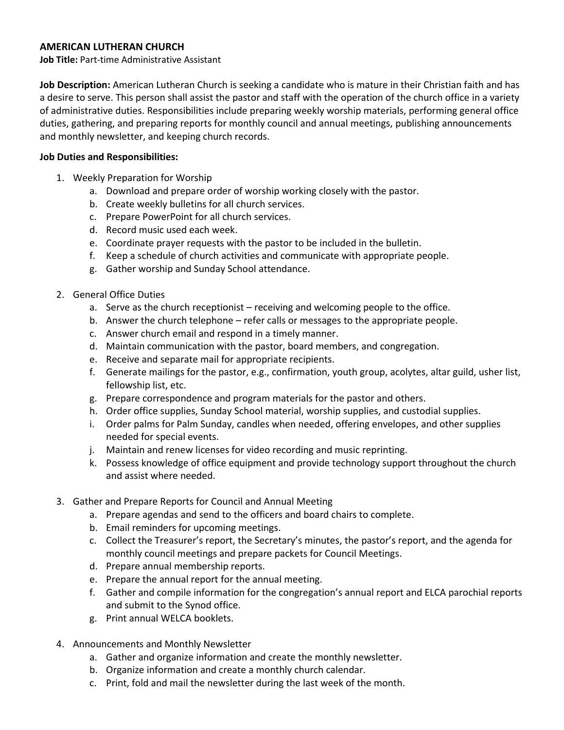## **AMERICAN LUTHERAN CHURCH**

**Job Title:** Part-time Administrative Assistant

**Job Description:** American Lutheran Church is seeking a candidate who is mature in their Christian faith and has a desire to serve. This person shall assist the pastor and staff with the operation of the church office in a variety of administrative duties. Responsibilities include preparing weekly worship materials, performing general office duties, gathering, and preparing reports for monthly council and annual meetings, publishing announcements and monthly newsletter, and keeping church records.

## **Job Duties and Responsibilities:**

- 1. Weekly Preparation for Worship
	- a. Download and prepare order of worship working closely with the pastor.
	- b. Create weekly bulletins for all church services.
	- c. Prepare PowerPoint for all church services.
	- d. Record music used each week.
	- e. Coordinate prayer requests with the pastor to be included in the bulletin.
	- f. Keep a schedule of church activities and communicate with appropriate people.
	- g. Gather worship and Sunday School attendance.
- 2. General Office Duties
	- a. Serve as the church receptionist receiving and welcoming people to the office.
	- b. Answer the church telephone refer calls or messages to the appropriate people.
	- c. Answer church email and respond in a timely manner.
	- d. Maintain communication with the pastor, board members, and congregation.
	- e. Receive and separate mail for appropriate recipients.
	- f. Generate mailings for the pastor, e.g., confirmation, youth group, acolytes, altar guild, usher list, fellowship list, etc.
	- g. Prepare correspondence and program materials for the pastor and others.
	- h. Order office supplies, Sunday School material, worship supplies, and custodial supplies.
	- i. Order palms for Palm Sunday, candles when needed, offering envelopes, and other supplies needed for special events.
	- j. Maintain and renew licenses for video recording and music reprinting.
	- k. Possess knowledge of office equipment and provide technology support throughout the church and assist where needed.
- 3. Gather and Prepare Reports for Council and Annual Meeting
	- a. Prepare agendas and send to the officers and board chairs to complete.
	- b. Email reminders for upcoming meetings.
	- c. Collect the Treasurer's report, the Secretary's minutes, the pastor's report, and the agenda for monthly council meetings and prepare packets for Council Meetings.
	- d. Prepare annual membership reports.
	- e. Prepare the annual report for the annual meeting.
	- f. Gather and compile information for the congregation's annual report and ELCA parochial reports and submit to the Synod office.
	- g. Print annual WELCA booklets.
- 4. Announcements and Monthly Newsletter
	- a. Gather and organize information and create the monthly newsletter.
	- b. Organize information and create a monthly church calendar.
	- c. Print, fold and mail the newsletter during the last week of the month.